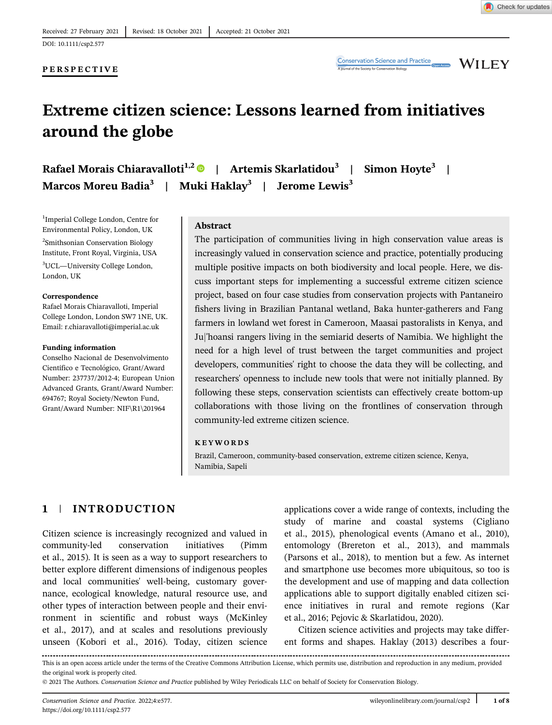## PERSPECTIVE

**Conservation Science and Practice** 

**WILEY** 

# Extreme citizen science: Lessons learned from initiatives around the globe

Rafael Morais Chiaravalloti<sup>1,2</sup> | Artemis Skarlatidou<sup>3</sup> | Simon Hoyte<sup>3</sup> | Marcos Moreu Badia<sup>3</sup> | Muki Haklay<sup>3</sup> | Jerome Lewis<sup>3</sup>

1 Imperial College London, Centre for Environmental Policy, London, UK 2 Smithsonian Conservation Biology Institute, Front Royal, Virginia, USA 3 UCL—University College London, London, UK

#### Correspondence

Rafael Morais Chiaravalloti, Imperial College London, London SW7 1NE, UK. Email: [r.chiaravalloti@imperial.ac.uk](mailto:r.chiaravalloti@imperial.ac.uk)

#### Funding information

Conselho Nacional de Desenvolvimento Científico e Tecnológico, Grant/Award Number: 237737/2012-4; European Union Advanced Grants, Grant/Award Number: 694767; Royal Society/Newton Fund, Grant/Award Number: NIF\R1\201964

## Abstract

The participation of communities living in high conservation value areas is increasingly valued in conservation science and practice, potentially producing multiple positive impacts on both biodiversity and local people. Here, we discuss important steps for implementing a successful extreme citizen science project, based on four case studies from conservation projects with Pantaneiro fishers living in Brazilian Pantanal wetland, Baka hunter-gatherers and Fang farmers in lowland wet forest in Cameroon, Maasai pastoralists in Kenya, and Juj'hoansi rangers living in the semiarid deserts of Namibia. We highlight the need for a high level of trust between the target communities and project developers, communities' right to choose the data they will be collecting, and researchers' openness to include new tools that were not initially planned. By following these steps, conservation scientists can effectively create bottom-up collaborations with those living on the frontlines of conservation through community-led extreme citizen science.

#### KEYWORDS

Brazil, Cameroon, community-based conservation, extreme citizen science, Kenya, Namibia, Sapeli

# 1 | INTRODUCTION

Citizen science is increasingly recognized and valued in community-led conservation initiatives (Pimm et al., 2015). It is seen as a way to support researchers to better explore different dimensions of indigenous peoples and local communities' well-being, customary governance, ecological knowledge, natural resource use, and other types of interaction between people and their environment in scientific and robust ways (McKinley et al., 2017), and at scales and resolutions previously unseen (Kobori et al., 2016). Today, citizen science

applications cover a wide range of contexts, including the study of marine and coastal systems (Cigliano et al., 2015), phenological events (Amano et al., 2010), entomology (Brereton et al., 2013), and mammals (Parsons et al., 2018), to mention but a few. As internet and smartphone use becomes more ubiquitous, so too is the development and use of mapping and data collection applications able to support digitally enabled citizen science initiatives in rural and remote regions (Kar et al., 2016; Pejovic & Skarlatidou, 2020).

Citizen science activities and projects may take different forms and shapes. Haklay (2013) describes a four-

This is an open access article under the terms of the [Creative Commons Attribution](http://creativecommons.org/licenses/by/4.0/) License, which permits use, distribution and reproduction in any medium, provided the original work is properly cited.

<sup>© 2021</sup> The Authors. Conservation Science and Practice published by Wiley Periodicals LLC on behalf of Society for Conservation Biology.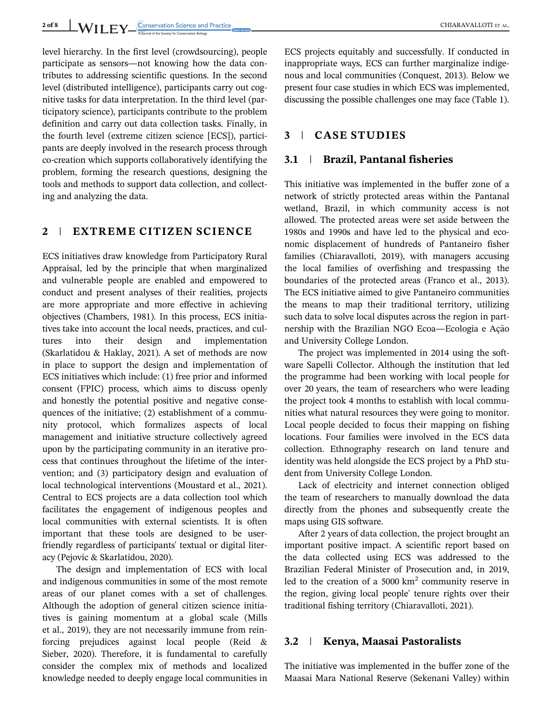level hierarchy. In the first level (crowdsourcing), people participate as sensors—not knowing how the data contributes to addressing scientific questions. In the second level (distributed intelligence), participants carry out cognitive tasks for data interpretation. In the third level (participatory science), participants contribute to the problem definition and carry out data collection tasks. Finally, in the fourth level (extreme citizen science [ECS]), participants are deeply involved in the research process through co-creation which supports collaboratively identifying the problem, forming the research questions, designing the tools and methods to support data collection, and collecting and analyzing the data.

# 2 | EXTREME CITIZEN SCIENCE

ECS initiatives draw knowledge from Participatory Rural Appraisal, led by the principle that when marginalized and vulnerable people are enabled and empowered to conduct and present analyses of their realities, projects are more appropriate and more effective in achieving objectives (Chambers, 1981). In this process, ECS initiatives take into account the local needs, practices, and cultures into their design and implementation (Skarlatidou & Haklay, 2021). A set of methods are now in place to support the design and implementation of ECS initiatives which include: (1) free prior and informed consent (FPIC) process, which aims to discuss openly and honestly the potential positive and negative consequences of the initiative; (2) establishment of a community protocol, which formalizes aspects of local management and initiative structure collectively agreed upon by the participating community in an iterative process that continues throughout the lifetime of the intervention; and (3) participatory design and evaluation of local technological interventions (Moustard et al., 2021). Central to ECS projects are a data collection tool which facilitates the engagement of indigenous peoples and local communities with external scientists. It is often important that these tools are designed to be userfriendly regardless of participants' textual or digital literacy (Pejovic & Skarlatidou, 2020).

The design and implementation of ECS with local and indigenous communities in some of the most remote areas of our planet comes with a set of challenges. Although the adoption of general citizen science initiatives is gaining momentum at a global scale (Mills et al., 2019), they are not necessarily immune from reinforcing prejudices against local people (Reid & Sieber, 2020). Therefore, it is fundamental to carefully consider the complex mix of methods and localized knowledge needed to deeply engage local communities in

ECS projects equitably and successfully. If conducted in inappropriate ways, ECS can further marginalize indigenous and local communities (Conquest, 2013). Below we present four case studies in which ECS was implemented, discussing the possible challenges one may face (Table 1).

# 3 | CASE STUDIES

## 3.1 | Brazil, Pantanal fisheries

This initiative was implemented in the buffer zone of a network of strictly protected areas within the Pantanal wetland, Brazil, in which community access is not allowed. The protected areas were set aside between the 1980s and 1990s and have led to the physical and economic displacement of hundreds of Pantaneiro fisher families (Chiaravalloti, 2019), with managers accusing the local families of overfishing and trespassing the boundaries of the protected areas (Franco et al., 2013). The ECS initiative aimed to give Pantaneiro communities the means to map their traditional territory, utilizing such data to solve local disputes across the region in partnership with the Brazilian NGO Ecoa—Ecologia e Ação and University College London.

The project was implemented in 2014 using the software Sapelli Collector. Although the institution that led the programme had been working with local people for over 20 years, the team of researchers who were leading the project took 4 months to establish with local communities what natural resources they were going to monitor. Local people decided to focus their mapping on fishing locations. Four families were involved in the ECS data collection. Ethnography research on land tenure and identity was held alongside the ECS project by a PhD student from University College London.

Lack of electricity and internet connection obliged the team of researchers to manually download the data directly from the phones and subsequently create the maps using GIS software.

After 2 years of data collection, the project brought an important positive impact. A scientific report based on the data collected using ECS was addressed to the Brazilian Federal Minister of Prosecution and, in 2019, led to the creation of a  $5000 \text{ km}^2$  community reserve in the region, giving local people' tenure rights over their traditional fishing territory (Chiaravalloti, 2021).

## 3.2 | Kenya, Maasai Pastoralists

The initiative was implemented in the buffer zone of the Maasai Mara National Reserve (Sekenani Valley) within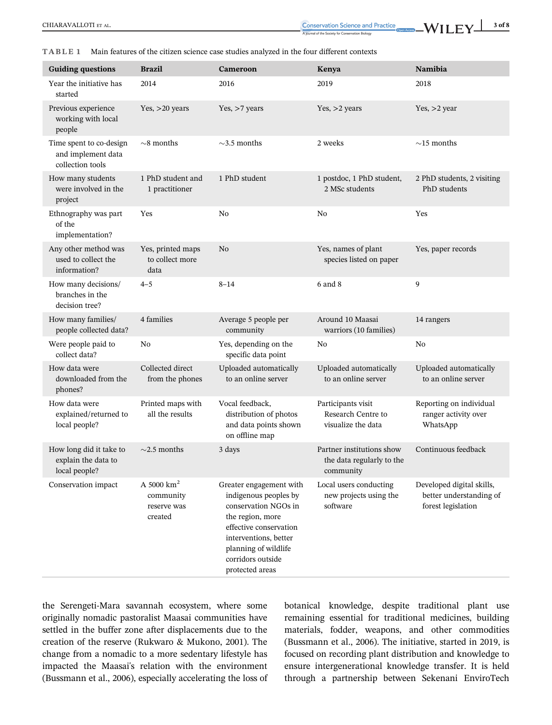CONSERVALLOTI ET AL. 3 of 8

#### TABLE 1 Main features of the citizen science case studies analyzed in the four different contexts

| <b>Guiding questions</b>                                          | <b>Brazil</b>                                        | <b>Cameroon</b>                                                                                                                                                                                                 | Kenya                                                               | Namibia                                                                    |
|-------------------------------------------------------------------|------------------------------------------------------|-----------------------------------------------------------------------------------------------------------------------------------------------------------------------------------------------------------------|---------------------------------------------------------------------|----------------------------------------------------------------------------|
| Year the initiative has<br>started                                | 2014                                                 | 2016                                                                                                                                                                                                            | 2019                                                                | 2018                                                                       |
| Previous experience<br>working with local<br>people               | Yes, $>20$ years                                     | Yes, $>7$ years                                                                                                                                                                                                 | Yes, $>$ 2 years                                                    | Yes, $>2$ year                                                             |
| Time spent to co-design<br>and implement data<br>collection tools | $\sim$ 8 months                                      | $\sim$ 3.5 months                                                                                                                                                                                               | 2 weeks                                                             | $\sim$ 15 months                                                           |
| How many students<br>were involved in the<br>project              | 1 PhD student and<br>1 practitioner                  | 1 PhD student                                                                                                                                                                                                   | 1 postdoc, 1 PhD student,<br>2 MSc students                         | 2 PhD students, 2 visiting<br>PhD students                                 |
| Ethnography was part<br>of the<br>implementation?                 | Yes                                                  | No                                                                                                                                                                                                              | No                                                                  | Yes                                                                        |
| Any other method was<br>used to collect the<br>information?       | Yes, printed maps<br>to collect more<br>data         | N <sub>o</sub>                                                                                                                                                                                                  | Yes, names of plant<br>species listed on paper                      | Yes, paper records                                                         |
| How many decisions/<br>branches in the<br>decision tree?          | $4 - 5$                                              | $8 - 14$                                                                                                                                                                                                        | 6 and 8                                                             | 9                                                                          |
| How many families/<br>people collected data?                      | 4 families                                           | Average 5 people per<br>community                                                                                                                                                                               | Around 10 Maasai<br>warriors (10 families)                          | 14 rangers                                                                 |
| Were people paid to<br>collect data?                              | No                                                   | Yes, depending on the<br>specific data point                                                                                                                                                                    | No                                                                  | N <sub>0</sub>                                                             |
| How data were<br>downloaded from the<br>phones?                   | Collected direct<br>from the phones                  | Uploaded automatically<br>to an online server                                                                                                                                                                   | Uploaded automatically<br>to an online server                       | Uploaded automatically<br>to an online server                              |
| How data were<br>explained/returned to<br>local people?           | Printed maps with<br>all the results                 | Vocal feedback,<br>distribution of photos<br>and data points shown<br>on offline map                                                                                                                            | Participants visit<br>Research Centre to<br>visualize the data      | Reporting on individual<br>ranger activity over<br>WhatsApp                |
| How long did it take to<br>explain the data to<br>local people?   | $\sim$ 2.5 months                                    | 3 days                                                                                                                                                                                                          | Partner institutions show<br>the data regularly to the<br>community | Continuous feedback                                                        |
| Conservation impact                                               | A 5000 $km^2$<br>community<br>reserve was<br>created | Greater engagement with<br>indigenous peoples by<br>conservation NGOs in<br>the region, more<br>effective conservation<br>interventions, better<br>planning of wildlife<br>corridors outside<br>protected areas | Local users conducting<br>new projects using the<br>software        | Developed digital skills,<br>better understanding of<br>forest legislation |

the Serengeti-Mara savannah ecosystem, where some originally nomadic pastoralist Maasai communities have settled in the buffer zone after displacements due to the creation of the reserve (Rukwaro & Mukono, 2001). The change from a nomadic to a more sedentary lifestyle has impacted the Maasai's relation with the environment (Bussmann et al., 2006), especially accelerating the loss of botanical knowledge, despite traditional plant use remaining essential for traditional medicines, building materials, fodder, weapons, and other commodities (Bussmann et al., 2006). The initiative, started in 2019, is focused on recording plant distribution and knowledge to ensure intergenerational knowledge transfer. It is held through a partnership between Sekenani EnviroTech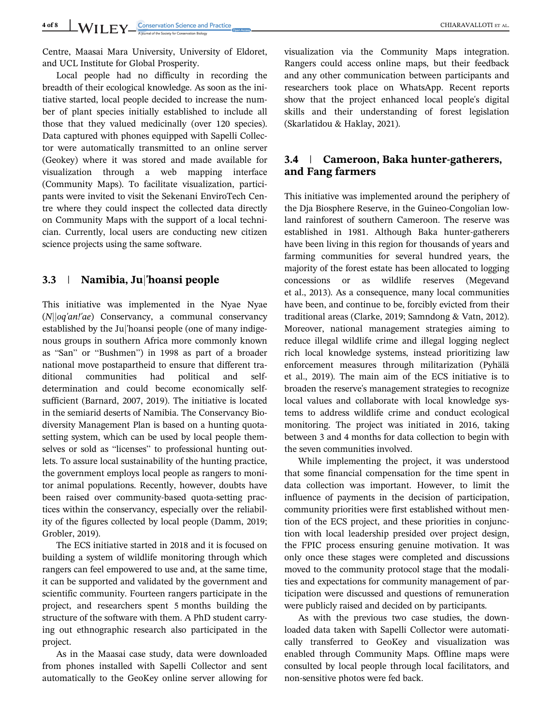Centre, Maasai Mara University, University of Eldoret, and UCL Institute for Global Prosperity.

Local people had no difficulty in recording the breadth of their ecological knowledge. As soon as the initiative started, local people decided to increase the number of plant species initially established to include all those that they valued medicinally (over 120 species). Data captured with phones equipped with Sapelli Collector were automatically transmitted to an online server (Geokey) where it was stored and made available for visualization through a web mapping interface (Community Maps). To facilitate visualization, participants were invited to visit the Sekenani EnviroTech Centre where they could inspect the collected data directly on Community Maps with the support of a local technician. Currently, local users are conducting new citizen science projects using the same software.

## 3.3 | Namibia, Juj'hoansi people

This initiative was implemented in the Nyae Nyae  $(N||oq'an'|ae)$  Conservancy, a communal conservancy established by the Juj'hoansi people (one of many indigenous groups in southern Africa more commonly known as "San" or "Bushmen") in 1998 as part of a broader national move postapartheid to ensure that different traditional communities had political and selfdetermination and could become economically selfsufficient (Barnard, 2007, 2019). The initiative is located in the semiarid deserts of Namibia. The Conservancy Biodiversity Management Plan is based on a hunting quotasetting system, which can be used by local people themselves or sold as "licenses" to professional hunting outlets. To assure local sustainability of the hunting practice, the government employs local people as rangers to monitor animal populations. Recently, however, doubts have been raised over community-based quota-setting practices within the conservancy, especially over the reliability of the figures collected by local people (Damm, 2019; Grobler, 2019).

The ECS initiative started in 2018 and it is focused on building a system of wildlife monitoring through which rangers can feel empowered to use and, at the same time, it can be supported and validated by the government and scientific community. Fourteen rangers participate in the project, and researchers spent 5 months building the structure of the software with them. A PhD student carrying out ethnographic research also participated in the project.

As in the Maasai case study, data were downloaded from phones installed with Sapelli Collector and sent automatically to the GeoKey online server allowing for visualization via the Community Maps integration. Rangers could access online maps, but their feedback and any other communication between participants and researchers took place on WhatsApp. Recent reports show that the project enhanced local people's digital skills and their understanding of forest legislation (Skarlatidou & Haklay, 2021).

# 3.4 | Cameroon, Baka hunter-gatherers, and Fang farmers

This initiative was implemented around the periphery of the Dja Biosphere Reserve, in the Guineo-Congolian lowland rainforest of southern Cameroon. The reserve was established in 1981. Although Baka hunter-gatherers have been living in this region for thousands of years and farming communities for several hundred years, the majority of the forest estate has been allocated to logging concessions or as wildlife reserves (Megevand et al., 2013). As a consequence, many local communities have been, and continue to be, forcibly evicted from their traditional areas (Clarke, 2019; Samndong & Vatn, 2012). Moreover, national management strategies aiming to reduce illegal wildlife crime and illegal logging neglect rich local knowledge systems, instead prioritizing law enforcement measures through militarization (Pyhälä et al., 2019). The main aim of the ECS initiative is to broaden the reserve's management strategies to recognize local values and collaborate with local knowledge systems to address wildlife crime and conduct ecological monitoring. The project was initiated in 2016, taking between 3 and 4 months for data collection to begin with the seven communities involved.

While implementing the project, it was understood that some financial compensation for the time spent in data collection was important. However, to limit the influence of payments in the decision of participation, community priorities were first established without mention of the ECS project, and these priorities in conjunction with local leadership presided over project design, the FPIC process ensuring genuine motivation. It was only once these stages were completed and discussions moved to the community protocol stage that the modalities and expectations for community management of participation were discussed and questions of remuneration were publicly raised and decided on by participants.

As with the previous two case studies, the downloaded data taken with Sapelli Collector were automatically transferred to GeoKey and visualization was enabled through Community Maps. Offline maps were consulted by local people through local facilitators, and non-sensitive photos were fed back.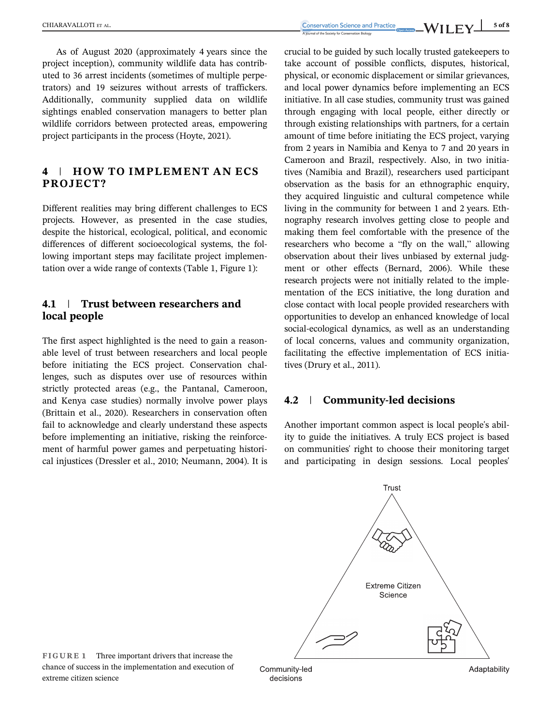As of August 2020 (approximately 4 years since the project inception), community wildlife data has contributed to 36 arrest incidents (sometimes of multiple perpetrators) and 19 seizures without arrests of traffickers. Additionally, community supplied data on wildlife sightings enabled conservation managers to better plan wildlife corridors between protected areas, empowering project participants in the process (Hoyte, 2021).

# 4 | HOW TO IMPLEMENT AN ECS PROJECT?

Different realities may bring different challenges to ECS projects. However, as presented in the case studies, despite the historical, ecological, political, and economic differences of different socioecological systems, the following important steps may facilitate project implementation over a wide range of contexts (Table 1, Figure 1):

# 4.1 | Trust between researchers and local people

The first aspect highlighted is the need to gain a reasonable level of trust between researchers and local people before initiating the ECS project. Conservation challenges, such as disputes over use of resources within strictly protected areas (e.g., the Pantanal, Cameroon, and Kenya case studies) normally involve power plays (Brittain et al., 2020). Researchers in conservation often fail to acknowledge and clearly understand these aspects before implementing an initiative, risking the reinforcement of harmful power games and perpetuating historical injustices (Dressler et al., 2010; Neumann, 2004). It is

crucial to be guided by such locally trusted gatekeepers to take account of possible conflicts, disputes, historical, physical, or economic displacement or similar grievances, and local power dynamics before implementing an ECS initiative. In all case studies, community trust was gained through engaging with local people, either directly or through existing relationships with partners, for a certain amount of time before initiating the ECS project, varying from 2 years in Namibia and Kenya to 7 and 20 years in Cameroon and Brazil, respectively. Also, in two initiatives (Namibia and Brazil), researchers used participant observation as the basis for an ethnographic enquiry, they acquired linguistic and cultural competence while living in the community for between 1 and 2 years. Ethnography research involves getting close to people and making them feel comfortable with the presence of the researchers who become a "fly on the wall," allowing observation about their lives unbiased by external judgment or other effects (Bernard, 2006). While these research projects were not initially related to the implementation of the ECS initiative, the long duration and close contact with local people provided researchers with opportunities to develop an enhanced knowledge of local social-ecological dynamics, as well as an understanding of local concerns, values and community organization, facilitating the effective implementation of ECS initiatives (Drury et al., 2011).

# 4.2 | Community-led decisions

Another important common aspect is local people's ability to guide the initiatives. A truly ECS project is based on communities' right to choose their monitoring target and participating in design sessions. Local peoples'



FIGURE 1 Three important drivers that increase the chance of success in the implementation and execution of extreme citizen science

Community-led decisions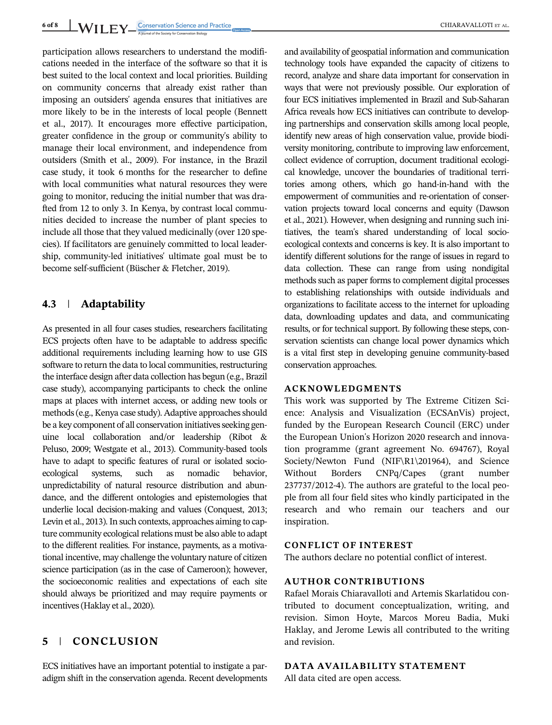6 of 8 WII FY Conservation Science and Practice <sub>Comparation</sub> CHIARAVALLOTI ET AL.

participation allows researchers to understand the modifications needed in the interface of the software so that it is best suited to the local context and local priorities. Building on community concerns that already exist rather than imposing an outsiders' agenda ensures that initiatives are more likely to be in the interests of local people (Bennett et al., 2017). It encourages more effective participation, greater confidence in the group or community's ability to manage their local environment, and independence from outsiders (Smith et al., 2009). For instance, in the Brazil case study, it took 6 months for the researcher to define with local communities what natural resources they were going to monitor, reducing the initial number that was drafted from 12 to only 3. In Kenya, by contrast local communities decided to increase the number of plant species to include all those that they valued medicinally (over 120 species). If facilitators are genuinely committed to local leadership, community-led initiatives' ultimate goal must be to become self-sufficient (Büscher & Fletcher, 2019).

# 4.3 | Adaptability

As presented in all four cases studies, researchers facilitating ECS projects often have to be adaptable to address specific additional requirements including learning how to use GIS software to return the data to local communities, restructuring the interface design after data collection has begun (e.g., Brazil case study), accompanying participants to check the online maps at places with internet access, or adding new tools or methods (e.g., Kenya case study). Adaptive approaches should be a key component of all conservation initiatives seeking genuine local collaboration and/or leadership (Ribot & Peluso, 2009; Westgate et al., 2013). Community-based tools have to adapt to specific features of rural or isolated socioecological systems, such as nomadic behavior, unpredictability of natural resource distribution and abundance, and the different ontologies and epistemologies that underlie local decision-making and values (Conquest, 2013; Levin et al., 2013). In such contexts, approaches aiming to capture community ecological relations must be also able to adapt to the different realities. For instance, payments, as a motivational incentive, may challenge the voluntary nature of citizen science participation (as in the case of Cameroon); however, the socioeconomic realities and expectations of each site should always be prioritized and may require payments or incentives (Haklay et al., 2020).

# 5 | CONCLUSION

ECS initiatives have an important potential to instigate a paradigm shift in the conservation agenda. Recent developments and availability of geospatial information and communication technology tools have expanded the capacity of citizens to record, analyze and share data important for conservation in ways that were not previously possible. Our exploration of four ECS initiatives implemented in Brazil and Sub-Saharan Africa reveals how ECS initiatives can contribute to developing partnerships and conservation skills among local people, identify new areas of high conservation value, provide biodiversity monitoring, contribute to improving law enforcement, collect evidence of corruption, document traditional ecological knowledge, uncover the boundaries of traditional territories among others, which go hand-in-hand with the empowerment of communities and re-orientation of conservation projects toward local concerns and equity (Dawson et al., 2021). However, when designing and running such initiatives, the team's shared understanding of local socioecological contexts and concerns is key. It is also important to identify different solutions for the range of issues in regard to data collection. These can range from using nondigital methods such as paper forms to complement digital processes to establishing relationships with outside individuals and organizations to facilitate access to the internet for uploading data, downloading updates and data, and communicating results, or for technical support. By following these steps, conservation scientists can change local power dynamics which is a vital first step in developing genuine community-based conservation approaches.

## ACKNOWLEDGMENTS

This work was supported by The Extreme Citizen Science: Analysis and Visualization (ECSAnVis) project, funded by the European Research Council (ERC) under the European Union's Horizon 2020 research and innovation programme (grant agreement No. 694767), Royal Society/Newton Fund (NIF\R1\201964), and Science Without Borders CNPq/Capes (grant number 237737/2012-4). The authors are grateful to the local people from all four field sites who kindly participated in the research and who remain our teachers and our inspiration.

## CONFLICT OF INTEREST

The authors declare no potential conflict of interest.

# AUTHOR CONTRIBUTIONS

Rafael Morais Chiaravalloti and Artemis Skarlatidou contributed to document conceptualization, writing, and revision. Simon Hoyte, Marcos Moreu Badia, Muki Haklay, and Jerome Lewis all contributed to the writing and revision.

## DATA AVAILABILITY STATEMENT

All data cited are open access.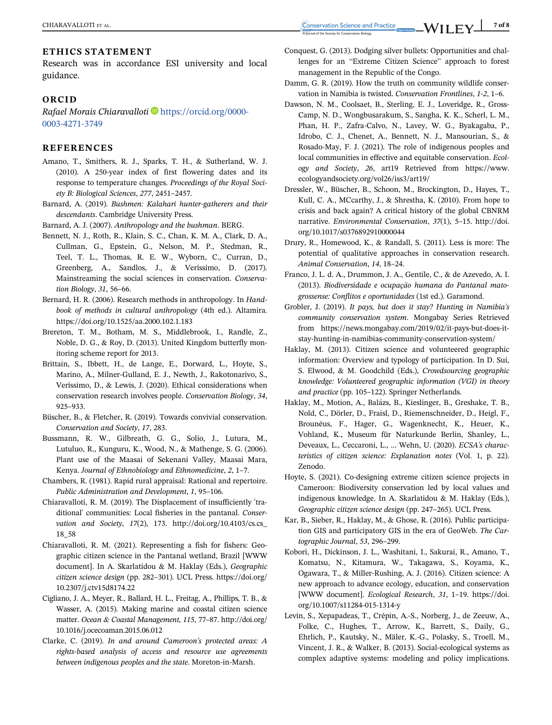# ETHICS STATEMENT

Research was in accordance ESI university and local guidance.

## **ORCID**

Rafael Morais Chiaravalloti [https://orcid.org/0000-](https://orcid.org/0000-0003-4271-3749) [0003-4271-3749](https://orcid.org/0000-0003-4271-3749)

#### **REFERENCES**

- Amano, T., Smithers, R. J., Sparks, T. H., & Sutherland, W. J. (2010). A 250-year index of first flowering dates and its response to temperature changes. Proceedings of the Royal Society B: Biological Sciences, 277, 2451–2457.
- Barnard, A. (2019). Bushmen: Kalahari hunter-gatherers and their descendants. Cambridge University Press.

Barnard, A. J. (2007). Anthropology and the bushman. BERG.

- Bennett, N. J., Roth, R., Klain, S. C., Chan, K. M. A., Clark, D. A., Cullman, G., Epstein, G., Nelson, M. P., Stedman, R., Teel, T. L., Thomas, R. E. W., Wyborn, C., Curran, D., Greenberg, A., Sandlos, J., & Veríssimo, D. (2017). Mainstreaming the social sciences in conservation. Conservation Biology, 31, 56–66.
- Bernard, H. R. (2006). Research methods in anthropology. In Handbook of methods in cultural anthropology (4th ed.). Altamira. <https://doi.org/10.1525/aa.2000.102.1.183>
- Brereton, T. M., Botham, M. S., Middlebrook, I., Randle, Z., Noble, D. G., & Roy, D. (2013). United Kingdom butterfly monitoring scheme report for 2013.
- Brittain, S., Ibbett, H., de Lange, E., Dorward, L., Hoyte, S., Marino, A., Milner-Gulland, E. J., Newth, J., Rakotonarivo, S., Veríssimo, D., & Lewis, J. (2020). Ethical considerations when conservation research involves people. Conservation Biology, 34, 925–933.
- Büscher, B., & Fletcher, R. (2019). Towards convivial conservation. Conservation and Society, 17, 283.
- Bussmann, R. W., Gilbreath, G. G., Solio, J., Lutura, M., Lutuluo, R., Kunguru, K., Wood, N., & Mathenge, S. G. (2006). Plant use of the Maasai of Sekenani Valley, Maasai Mara, Kenya. Journal of Ethnobiology and Ethnomedicine, 2, 1–7.
- Chambers, R. (1981). Rapid rural appraisal: Rational and repertoire. Public Administration and Development, 1, 95–106.
- Chiaravalloti, R. M. (2019). The Displacement of insufficiently 'traditional' communities: Local fisheries in the pantanal. Conservation and Society, 17(2), 173. [http://doi.org/10.4103/cs.cs\\_](http://doi.org/10.4103/cs.cs_18_58) [18\\_58](http://doi.org/10.4103/cs.cs_18_58)
- Chiaravalloti, R. M. (2021). Representing a fish for fishers: Geographic citizen science in the Pantanal wetland, Brazil [WWW document]. In A. Skarlatidou & M. Haklay (Eds.), Geographic citizen science design (pp. 282–301). UCL Press. [https://doi.org/](https://doi.org/10.2307/j.ctv15d8174.22) [10.2307/j.ctv15d8174.22](https://doi.org/10.2307/j.ctv15d8174.22)
- Cigliano, J. A., Meyer, R., Ballard, H. L., Freitag, A., Phillips, T. B., & Wasser, A. (2015). Making marine and coastal citizen science matter. Ocean & Coastal Management, 115, 77–87. [http://doi.org/](http://doi.org/10.1016/j.ocecoaman.2015.06.012) [10.1016/j.ocecoaman.2015.06.012](http://doi.org/10.1016/j.ocecoaman.2015.06.012)
- Clarke, C. (2019). In and around Cameroon's protected areas: A rights-based analysis of access and resource use agreements between indigenous peoples and the state. Moreton-in-Marsh.
- Conquest, G. (2013). Dodging silver bullets: Opportunities and challenges for an "Extreme Citizen Science" approach to forest management in the Republic of the Congo.
- Damm, G. R. (2019). How the truth on community wildlife conservation in Namibia is twisted. Conservation Frontlines, 1-2, 1–6.
- Dawson, N. M., Coolsaet, B., Sterling, E. J., Loveridge, R., Gross-Camp, N. D., Wongbusarakum, S., Sangha, K. K., Scherl, L. M., Phan, H. P., Zafra-Calvo, N., Lavey, W. G., Byakagaba, P., Idrobo, C. J., Chenet, A., Bennett, N. J., Mansourian, S., & Rosado-May, F. J. (2021). The role of indigenous peoples and local communities in effective and equitable conservation. Ecology and Society, 26, art19 Retrieved from [https://www.](https://www.ecologyandsociety.org/vol26/iss3/art19/) [ecologyandsociety.org/vol26/iss3/art19/](https://www.ecologyandsociety.org/vol26/iss3/art19/)
- Dressler, W., Büscher, B., Schoon, M., Brockington, D., Hayes, T., Kull, C. A., MCcarthy, J., & Shrestha, K. (2010). From hope to crisis and back again? A critical history of the global CBNRM narrative. Environmental Conservation, 37(1), 5–15. [http://doi.](http://doi.org/10.1017/s0376892910000044) [org/10.1017/s0376892910000044](http://doi.org/10.1017/s0376892910000044)
- Drury, R., Homewood, K., & Randall, S. (2011). Less is more: The potential of qualitative approaches in conservation research. Animal Conservation, 14, 18–24.
- Franco, J. L. d. A., Drummon, J. A., Gentile, C., & de Azevedo, A. I. (2013). Biodiversidade e ocupação humana do Pantanal matogrossense: Conflitos e oportunidades (1st ed.). Garamond.
- Grobler, J. (2019). It pays, but does it stay? Hunting in Namibia's community conservation system. Mongabay Series Retrieved from [https://news.mongabay.com/2019/02/it-pays-but-does-it](https://news.mongabay.com/2019/02/it-pays-but-does-it-stay-hunting-in-namibias-community-conservation-system/)[stay-hunting-in-namibias-community-conservation-system/](https://news.mongabay.com/2019/02/it-pays-but-does-it-stay-hunting-in-namibias-community-conservation-system/)
- Haklay, M. (2013). Citizen science and volunteered geographic information: Overview and typology of participation. In D. Sui, S. Elwood, & M. Goodchild (Eds.), Crowdsourcing geographic knowledge: Volunteered geographic information (VGI) in theory and practice (pp. 105–122). Springer Netherlands.
- Haklay, M., Motion, A., Balázs, B., Kieslinger, B., Greshake, T. B., Nold, C., Dörler, D., Fraisl, D., Riemenschneider, D., Heigl, F., Brounéus, F., Hager, G., Wagenknecht, K., Heuer, K., Vohland, K., Museum für Naturkunde Berlin, Shanley, L., Deveaux, L., Ceccaroni, L., … Wehn, U. (2020). ECSA's characteristics of citizen science: Explanation notes (Vol. 1, p. 22). Zenodo.
- Hoyte, S. (2021). Co-designing extreme citizen science projects in Cameroon: Biodiversity conservation led by local values and indigenous knowledge. In A. Skarlatidou & M. Haklay (Eds.), Geographic citizen science design (pp. 247–265). UCL Press.
- Kar, B., Sieber, R., Haklay, M., & Ghose, R. (2016). Public participation GIS and participatory GIS in the era of GeoWeb. The Cartographic Journal, 53, 296–299.
- Kobori, H., Dickinson, J. L., Washitani, I., Sakurai, R., Amano, T., Komatsu, N., Kitamura, W., Takagawa, S., Koyama, K., Ogawara, T., & Miller-Rushing, A. J. (2016). Citizen science: A new approach to advance ecology, education, and conservation [WWW document]. Ecological Research, 31, 1–19. [https://doi.](https://doi.org/10.1007/s11284-015-1314-y) [org/10.1007/s11284-015-1314-y](https://doi.org/10.1007/s11284-015-1314-y)
- Levin, S., Xepapadeas, T., Crépin, A.-S., Norberg, J., de Zeeuw, A., Folke, C., Hughes, T., Arrow, K., Barrett, S., Daily, G., Ehrlich, P., Kautsky, N., Mäler, K.-G., Polasky, S., Troell, M., Vincent, J. R., & Walker, B. (2013). Social-ecological systems as complex adaptive systems: modeling and policy implications.